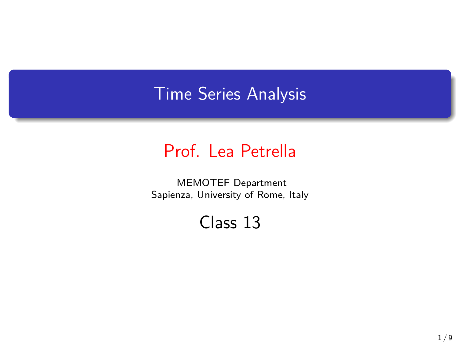## Time Series Analysis

## Prof. Lea Petrella

MEMOTEF Department Sapienza, University of Rome, Italy

## Class 13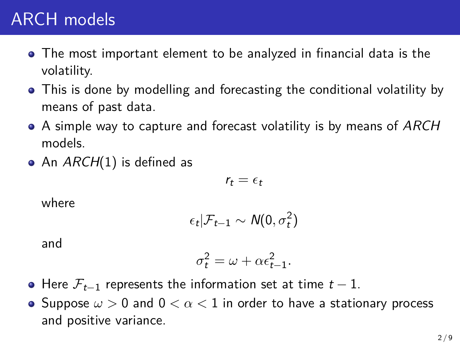## ARCH models

- The most important element to be analyzed in financial data is the volatility.
- This is done by modelling and forecasting the conditional volatility by means of past data.
- A simple way to capture and forecast volatility is by means of *ARCH* models.
- An *ARCH*(1) is defined as

$$
r_t = \epsilon_t
$$

where

$$
\epsilon_t | \mathcal{F}_{t-1} \sim \mathcal{N}(0, \sigma_t^2)
$$

and

$$
\sigma_t^2 = \omega + \alpha \epsilon_{t-1}^2.
$$

- Here *Ft−*<sup>1</sup> represents the information set at time *t −* 1.
- Suppose *ω >* 0 and 0 *< α <* 1 in order to have a stationary process and positive variance.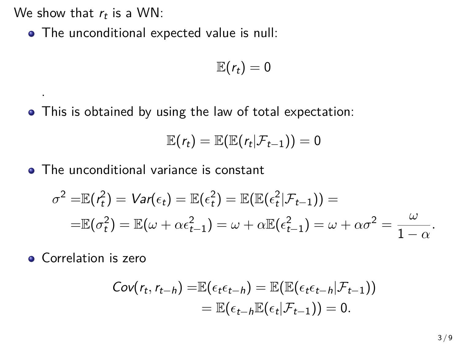We show that  $r_t$  is a WN:

.

The unconditional expected value is null:

$$
\mathbb{E}(r_t)=0
$$

This is obtained by using the law of total expectation:

$$
\mathbb{E}(r_t)=\mathbb{E}(\mathbb{E}(r_t|\mathcal{F}_{t-1}))=0
$$

• The unconditional variance is constant

$$
\sigma^2 = \mathbb{E}(\mathbf{r}_t^2) = \mathbf{Var}(\epsilon_t) = \mathbb{E}(\epsilon_t^2) = \mathbb{E}(\mathbb{E}(\epsilon_t^2 | \mathcal{F}_{t-1})) =
$$
  
=  $\mathbb{E}(\sigma_t^2) = \mathbb{E}(\omega + \alpha \epsilon_{t-1}^2) = \omega + \alpha \mathbb{E}(\epsilon_{t-1}^2) = \omega + \alpha \sigma^2 = \frac{\omega}{1 - \alpha}.$ 

**Correlation is zero** 

$$
Cov(r_t, r_{t-h}) = \mathbb{E}(\epsilon_t \epsilon_{t-h}) = \mathbb{E}(\mathbb{E}(\epsilon_t \epsilon_{t-h}|\mathcal{F}_{t-1}))
$$
  
=  $\mathbb{E}(\epsilon_{t-h}\mathbb{E}(\epsilon_t|\mathcal{F}_{t-1})) = 0.$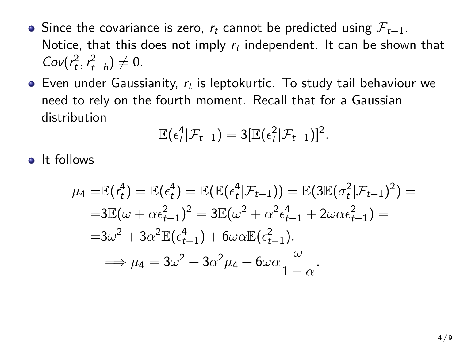- Since the covariance is zero, *r<sup>t</sup>* cannot be predicted using *Ft−*1. Notice, that this does not imply *r<sup>t</sup>* independent. It can be shown that  $Cov(r_t^2, r_{t-h}^2) \neq 0.$
- Even under Gaussianity, *r<sup>t</sup>* is leptokurtic. To study tail behaviour we need to rely on the fourth moment. Recall that for a Gaussian distribution

$$
\mathbb{E}(\epsilon_t^4|\mathcal{F}_{t-1})=3[\mathbb{E}(\epsilon_t^2|\mathcal{F}_{t-1})]^2.
$$

**o** It follows

$$
\mu_4 = \mathbb{E}(r_t^4) = \mathbb{E}(\epsilon_t^4) = \mathbb{E}(\mathbb{E}(\epsilon_t^4 | \mathcal{F}_{t-1})) = \mathbb{E}(3\mathbb{E}(\sigma_t^2 | \mathcal{F}_{t-1})^2) =
$$
  
= 3\mathbb{E}(\omega + \alpha \epsilon\_{t-1}^2)^2 = 3\mathbb{E}(\omega^2 + \alpha^2 \epsilon\_{t-1}^4 + 2\omega \alpha \epsilon\_{t-1}^2) =  
= 3\omega^2 + 3\alpha^2 \mathbb{E}(\epsilon\_{t-1}^4) + 6\omega \alpha \mathbb{E}(\epsilon\_{t-1}^2).  
\implies \mu\_4 = 3\omega^2 + 3\alpha^2 \mu\_4 + 6\omega \alpha \frac{\omega}{1 - \alpha}.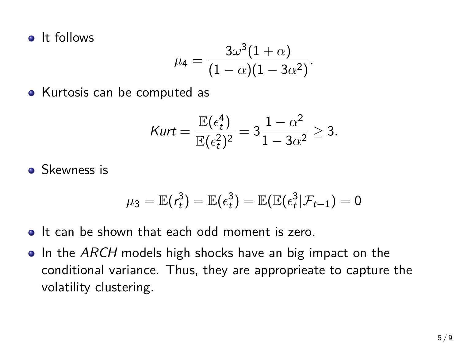**a** It follows

$$
\mu_4=\frac{3\omega^3(1+\alpha)}{(1-\alpha)(1-3\alpha^2)}.
$$

• Kurtosis can be computed as

$$
\text{Kurt} = \frac{\mathbb{E}(\epsilon_t^4)}{\mathbb{E}(\epsilon_t^2)^2} = 3\frac{1-\alpha^2}{1-3\alpha^2} \ge 3.
$$

**Skewness is** 

$$
\mu_3 = \mathbb{E}(\mathbf{r}_t^3) = \mathbb{E}(\mathbf{\epsilon}_t^3) = \mathbb{E}(\mathbb{E}(\mathbf{\epsilon}_t^3|\mathcal{F}_{t-1}) = 0
$$

- It can be shown that each odd moment is zero.
- **•** In the *ARCH* models high shocks have an big impact on the conditional variance. Thus, they are approprieate to capture the volatility clustering.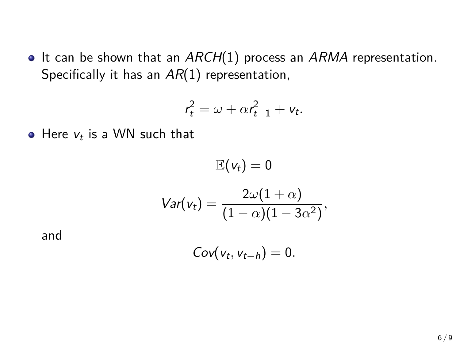• It can be shown that an *ARCH*(1) process an *ARMA* representation. Specifically it has an *AR*(1) representation,

$$
r_t^2 = \omega + \alpha r_{t-1}^2 + v_t.
$$

Here *v<sup>t</sup>* is a WN such that

$$
\mathbb{E}(v_t) = 0
$$

$$
Var(v_t) = \frac{2\omega(1+\alpha)}{(1-\alpha)(1-3\alpha^2)},
$$

and

$$
Cov(v_t, v_{t-h}) = 0.
$$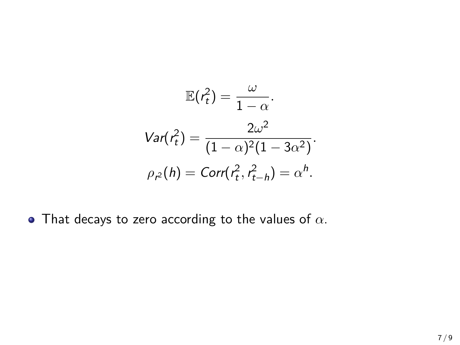$$
\mathbb{E}(r_t^2) = \frac{\omega}{1 - \alpha}.
$$
  
Var $(r_t^2)$  =  $\frac{2\omega^2}{(1 - \alpha)^2 (1 - 3\alpha^2)}$ .  

$$
\rho_{r^2}(h) = \text{Corr}(r_t^2, r_{t-h}^2) = \alpha^h.
$$

That decays to zero according to the values of *α*.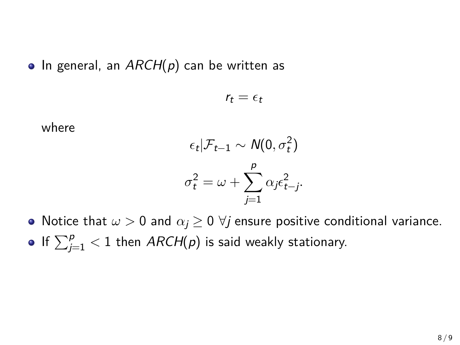■ In general, an *ARCH(p)* can be written as

 $r_t = \epsilon_t$ 

where

$$
\epsilon_t | \mathcal{F}_{t-1} \sim N(0, \sigma_t^2)
$$

$$
\sigma_t^2 = \omega + \sum_{j=1}^p \alpha_j \epsilon_{t-j}^2.
$$

• Notice that  $\omega > 0$  and  $\alpha_i \geq 0$   $\forall j$  ensure positive conditional variance. If  $\sum_{j=1}^p < 1$  then  $ARCH(p)$  is said weakly stationary.